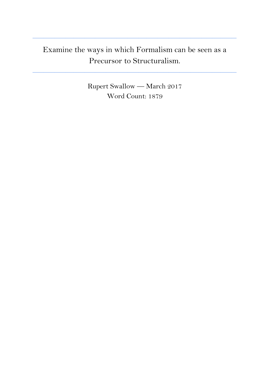## Examine the ways in which Formalism can be seen as a Precursor to Structuralism.

**\_\_\_\_\_\_\_\_\_\_\_\_\_\_\_\_\_\_\_\_\_\_\_\_\_\_\_\_\_\_\_\_\_\_\_\_\_\_\_\_\_\_\_\_\_\_\_\_\_\_\_\_\_\_\_\_\_\_\_\_\_\_\_\_\_\_\_\_\_\_\_\_\_\_\_**

**\_\_\_\_\_\_\_\_\_\_\_\_\_\_\_\_\_\_\_\_\_\_\_\_\_\_\_\_\_\_\_\_\_\_\_\_\_\_\_\_\_\_\_\_\_\_\_\_\_\_\_\_\_\_\_\_\_\_\_\_\_\_\_\_\_\_\_\_\_\_\_\_\_\_\_**

Rupert Swallow — March 2017 Word Count: 1879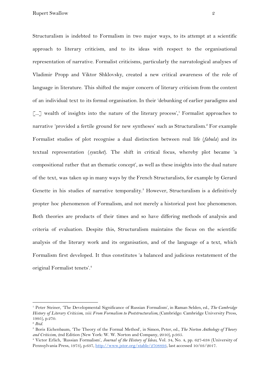Structuralism is indebted to Formalism in two major ways, to its attempt at a scientific approach to literary criticism, and to its ideas with respect to the organisational representation of narrative. Formalist criticisms, particularly the narratological analyses of Vladimir Propp and Viktor Shklovsky, created a new critical awareness of the role of language in literature. This shifted the major concern of literary criticism from the content of an individual text to its formal organisation. In their 'debunking of earlier paradigms and  $\lceil ... \rceil$  wealth of insights into the nature of the literary process', Formalist approaches to narrative 'provided a fertile ground for new syntheses' such as Structuralism.<sup>2</sup> For example Formalist studies of plot recognise a dual distinction between real life (*fabula*) and its textual representation (*syuzhet*). The shift in critical focus, whereby plot became 'a compositional rather that an thematic concept', as well as these insights into the dual nature of the text, was taken up in many ways by the French Structuralists, for example by Gerard Genette in his studies of narrative temporality.<sup>3</sup> However, Structuralism is a definitively propter hoc phenomenon of Formalism, and not merely a historical post hoc phenomenon. Both theories are products of their times and so have differing methods of analysis and criteria of evaluation. Despite this, Structuralism maintains the focus on the scientific analysis of the literary work and its organisation, and of the language of a text, which Formalism first developed. It thus constitutes 'a balanced and judicious restatement of the original Formalist tenets'.<sup>4</sup>

<sup>1</sup> Peter Steiner, 'The Developmental Significance of Russian Formalism', in Raman Selden, ed., *The Cambridge History of Literary Criticism, viii: From Formalism to Poststructuralism,* (Cambridge: Cambridge University Press, 1995), p.270.

<sup>2</sup> *Ibid.*

<sup>3</sup> Boris Eichenbaum, 'The Theory of the Formal Method', in Simon, Peter, ed., *The Norton Anthology of Theory and Criticism*, 2nd Edition (New York: W. W. Norton and Company, 2010), p.935.

<sup>4</sup> Victor Erlich, 'Russian Formalism', *Journal of the History of Ideas*, Vol. 34, No. 4, pp. 627-638 (University of Pennsylvania Press, 1973), p.637, <http://www.jstor.org/stable/2708893>, last accessed 10/03/2017.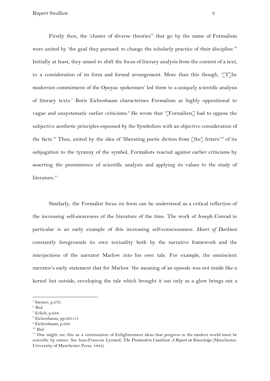Firstly then, the 'cluster of diverse theories'<sup>5</sup> that go by the name of Formalism were united by 'the goal they pursued: to change the scholarly practice of their discipline.'<sup>6</sup> Initially at least, they aimed to shift the focus of literary analysis from the content of a text, to a consideration of its form and formal arrangement. More than this though, '[T]he modernist commitment of the Opoyaz spokesmen' led them to a uniquely scientific analysis of literary texts.<sup>7</sup> Boris Eichenbaum characterises Formalism as highly oppositional to vague and unsystematic earlier criticisms.<sup>8</sup> He wrote that '[Formalists] had to oppose the subjective aesthetic principles espoused by the Symbolists with an objective consideration of the facts.<sup>'</sup> Thus, united by the idea of 'liberating poetic diction from  $\lceil \text{the} \rceil$  fetters'<sup>10</sup> of its subjugation to the tyranny of the symbol, Formalists reacted against earlier criticisms by asserting the preeminence of scientific analysis and applying its values to the study of literature.<sup>11</sup>

Similarly, the Formalist focus on form can be understood as a critical reflection of the increasing self-awareness of the literature of the time. The work of Joseph Conrad in particular is an early example of this increasing self-consciousness. *Heart of Darkness* constantly foregrounds its own textuality both by the narrative framework and the interjections of the narrator Marlow into his own tale. For example, the omniscient narrator's early statement that for Marlow 'the meaning of an episode was not inside like a kernel but outside, enveloping the tale which brought it out only as a glow brings out a

 $<sup>5</sup>$  Steiner, p.270.</sup>

<sup>6</sup> *Ibid.*

<sup>7</sup> Erlich, p.638.

<sup>8</sup> Eichenbaum, pp.925-51.

<sup>9</sup> Eichenbaum, p.928.

<sup>10</sup> *Ibid*.

<sup>&</sup>lt;sup>11</sup> One might see this as a continuation of Enlightenment ideas that progress in the modern world must be scientific by nature. See Jean-Francois Lyotard, *The Postmodern Condition: A Report on Knowledge* (Manchester: University of Manchester Press, 1984).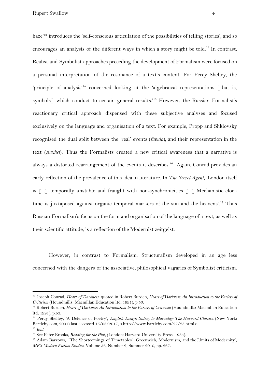haze<sup>'12</sup> introduces the 'self-conscious articulation of the possibilities of telling stories', and so encourages an analysis of the different ways in which a story might be told.<sup>13</sup> In contrast, Realist and Symbolist approaches preceding the development of Formalism were focused on a personal interpretation of the resonance of a text's content. For Percy Shelley, the 'principle of analysis'<sup>14</sup> concerned looking at the 'algebraical representations [that is, symbols<sup> $\gamma$ </sup> which conduct to certain general results.<sup>15</sup> However, the Russian Formalist's reactionary critical approach dispensed with these subjective analyses and focused exclusively on the language and organisation of a text. For example, Propp and Shklovsky recognised the dual split between the 'real' events (*fabula*), and their representation in the text (*sjuzhet*). Thus the Formalists created a new critical awareness that a narrative is always a distorted rearrangement of the events it describes.<sup>16</sup> Again, Conrad provides an early reflection of the prevalence of this idea in literature. In *The Secret Agent*, 'London itself is [...] temporally unstable and fraught with non-synchronicities [...] Mechanistic clock time is juxtaposed against organic temporal markers of the sun and the heavens'.<sup>17</sup> Thus Russian Formalism's focus on the form and organisation of the language of a text, as well as their scientific attitude, is a reflection of the Modernist zeitgeist.

However, in contrast to Formalism, Structuralism developed in an age less concerned with the dangers of the associative, philosophical vagaries of Symbolist criticism.

<sup>12</sup> Joseph Conrad, *Heart of Darkness*, quoted in Robert Burden, *Heart of Darkness: An Introduction to the Variety of Criticism* (Houndmills: Macmillan Education ltd, 1991), p.53.

<sup>13</sup> Robert Burden, *Heart of Darkness: An Introduction to the Variety of Criticism* (Houndmills: Macmillan Education ltd, 1991), p.53.

<sup>14</sup> Percy Shelley, 'A Defence of Poetry', *English Essays: Sidney to Macaulay: The Harvard Classics,* (New York: Bartleby.com, 2001) last accessed 15/03/2017, <http://www.bartleby.com/27/23.html>. <sup>15</sup> *Ibid.*

<sup>&</sup>lt;sup>16</sup> See Peter Brooks, *Reading for the Plot*, (London: Harvard University Press, 1984).

<sup>17</sup> Adam Barrows, '"The Shortcomings of Timetables": Greenwich, Modernism, and the Limits of Modernity', *MFS Modern Fiction Studies*, Volume 56, Number 2, Summer 2010, pp. 267.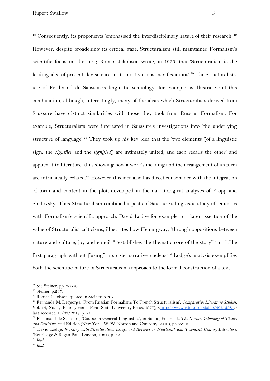Rupert Swallow 5

 $18$  Consequently, its proponents 'emphasised the interdisciplinary nature of their research'.<sup>19</sup> However, despite broadening its critical gaze, Structuralism still maintained Formalism's scientific focus on the text; Roman Jakobson wrote, in 1929, that 'Structuralism is the leading idea of present-day science in its most various manifestations'.<sup>20</sup> The Structuralists' use of Ferdinand de Saussure's linguistic semiology, for example, is illustrative of this combination, although, interestingly, many of the ideas which Structuralists derived from Saussure have distinct similarities with those they took from Russian Formalism. For example, Structuralists were interested in Saussure's investigations into 'the underlying structure of language'.<sup>21</sup> They took up his key idea that the 'two elements  $\lceil \text{of a linguistic} \rceil$ sign, the *signifier* and the *signified*] are intimately united, and each recalls the other' and applied it to literature, thus showing how a work's meaning and the arrangement of its form are intrinsically related.<sup>22</sup> However this idea also has direct consonance with the integration of form and content in the plot, developed in the narratological analyses of Propp and Shklovsky. Thus Structuralism combined aspects of Saussure's linguistic study of semiotics with Formalism's scientific approach. David Lodge for example, in a later assertion of the value of Structuralist criticisms, illustrates how Hemingway, 'through oppositions between nature and culture, joy and ennui',<sup>23</sup> 'establishes the thematic core of the story'<sup>24</sup> in '[t]he first paragraph without [using] a single narrative nucleus.<sup>255</sup> Lodge's analysis exemplifies both the scientific nature of Structuralism's approach to the formal construction of a text —

<sup>18</sup> See Steiner, pp.267-70.

<sup>19</sup> Steiner, p.267.

<sup>&</sup>lt;sup>20</sup> Roman Jakobson, quoted in Steiner, p.267.

<sup>21</sup> Fernande M. Degeorge, 'From Russian Formalism: To French Structuralism', *Comparative Literature Studies*, Vol. 14, No. 1, (Pennsylvania: Penn State University Press, 1977), [<http://www.jstor.org/stable/40245981>](http://www.jstor.org/stable/40245981) last accessed 15/03/2017, p. 21.

<sup>22</sup> Ferdinand de Saussure, 'Course in General Linguistics', in Simon, Peter, ed., *The Norton Anthology of Theory and Criticism*, 2nd Edition (New York: W. W. Norton and Company, 2010), pp.852-3.

<sup>23</sup> David Lodge, *Working with Structuralism: Essays and Reviews on Nineteenth and Twentieth Century Literature*, (Routledge & Kegan Paul: London, 1981), p. 32.

<sup>24</sup> *Ibid.*

<sup>25</sup> *Ibid.*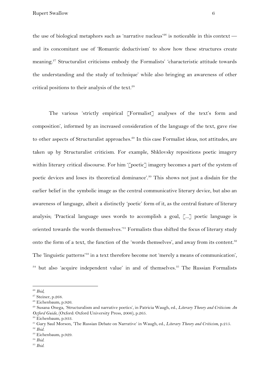the use of biological metaphors such as 'narrative nucleus'<sup>26</sup> is noticeable in this context  $$ and its concomitant use of 'Romantic deductivism' to show how these structures create meaning.<sup>27</sup> Structuralist criticisms embody the Formalists' 'characteristic attitude towards the understanding and the study of technique' while also bringing an awareness of other critical positions to their analysis of the text.<sup>28</sup>

The various 'strictly empirical [Formalist] analyses of the text's form and composition', informed by an increased consideration of the language of the text, gave rise to other aspects of Structuralist approaches.<sup>29</sup> In this case Formalist ideas, not attitudes, are taken up by Structuralist criticism. For example, Shklovsky repositions poetic imagery within literary critical discourse. For him '[poetic] imagery becomes a part of the system of poetic devices and loses its theoretical dominance'.<sup>30</sup> This shows not just a disdain for the earlier belief in the symbolic image as the central communicative literary device, but also an awareness of language, albeit a distinctly 'poetic' form of it, as the central feature of literary analysis; 'Practical language uses words to accomplish a goal, [...] poetic language is oriented towards the words themselves.'<sup>31</sup> Formalists thus shifted the focus of literary study onto the form of a text, the function of the 'words themselves', and away from its content.<sup>32</sup> The 'linguistic patterns'<sup>33</sup> in a text therefore become not 'merely a means of communication',  $34$  but also 'acquire independent value' in and of themselves. $35$  The Russian Formalists

<sup>26</sup> *Ibid,*

<sup>&</sup>lt;sup>27</sup> Steiner, p.268.

<sup>&</sup>lt;sup>28</sup> Eichenbaum, p.926.

<sup>29</sup> Susana Onega, 'Structuralism and narrative poetics', in Patricia Waugh, ed., *Literary Theory and Criticism: An Oxford Guide*, (Oxford: Oxford University Press, 2006), p.265.

<sup>30</sup> Eichenbaum, p.933.

<sup>31</sup> Gary Saul Morson, 'The Russian Debate on Narrative' in Waugh, ed., *Literary Theory and Criticism*, p.215.

<sup>32</sup> *Ibid.*

<sup>33</sup> Eichenbaum, p.929.

<sup>34</sup> *Ibid*.

<sup>35</sup> *Ibid*.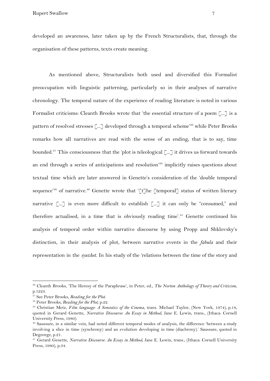Rupert Swallow 7

developed an awareness, later taken up by the French Structuralists, that, through the organisation of these patterns, texts create meaning.

As mentioned above, Structuralists both used and diversified this Formalist preoccupation with linguistic patterning, particularly so in their analyses of narrative chronology. The temporal nature of the experience of reading literature is noted in various Formalist criticisms: Cleanth Brooks wrote that 'the essential structure of a poem [...] is a pattern of resolved stresses  $\lceil ... \rceil$  developed through a temporal scheme<sup>36</sup> while Peter Brooks remarks how all narratives are read with the sense of an ending, that is to say, time bounded.<sup>37</sup> This consciousness that the 'plot is teleological  $\lceil ... \rceil$  it drives us forward towards an end through a series of anticipations and resolution<sup>38</sup> implicitly raises questions about textual time which are later answered in Genette's consideration of the 'double temporal sequence'<sup>39</sup> of narrative.<sup>40</sup> Genette wrote that '[t]he [temporal] status of written literary narrative [...] is even more difficult to establish [...] it can only be "consumed," and therefore actualised, in a time that is obviously reading time'.<sup>41</sup> Genette continued his analysis of temporal order within narrative discourse by using Propp and Shklovsky's distinction, in their analysis of plot, between narrative events in the *fabula* and their representation in the *syuzhet*. In his study of the 'relations between the time of the story and

<sup>36</sup> Cleanth Brooks, 'The Heresy of the Paraphrase', in Peter, ed., *The Norton Anthology of Theory and Criticism*, p.1223.

<sup>37</sup> See Peter Brooks, *Reading for the Plot*.

<sup>38</sup> Peter Brooks, *Reading for the Plot*, p.22.

<sup>39</sup> Christian Metz, *Film language: A Semiotics of the Cinema*, trans. Michael Taylor, (New York, 1974), p.18, quoted in Gerard Genette, *Narrative Discourse: An Essay in Method*, Jane E. Lewin, trans., (Ithaca: Cornell University Press, 1980).

<sup>40</sup> Saussure, in a similar vein, had noted different temporal modes of analysis, the difference 'between a study involving a slice in time (synchrony) and an evolution developing in time (diachrony).' Saussure, quoted in Degeorge, p.21.

<sup>41</sup> Gerard Genette, *Narrative Discourse: An Essay in Method*, Jane E. Lewin, trans., (Ithaca: Cornell University Press, 1980), p.34.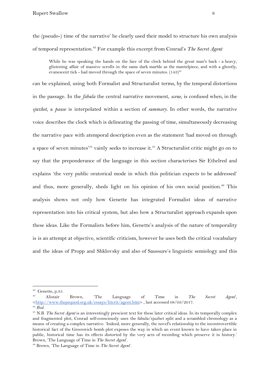the (pseudo-) time of the narrative' he clearly used their model to structure his own analysis of temporal representation.<sup>42</sup> For example this excerpt from Conrad's *The Secret Agent* 

While he was speaking the hands on the face of the clock behind the great man's back - a heavy, glistening affair of massive scrolls in the same dark marble as the mantelpiece, and with a ghostly, evanescent tick - had moved through the space of seven minutes. (143)<sup>43</sup>

can be explained, using both Formalist and Structuralist terms, by the temporal distortions in the passage. In the *fabula* the central narrative movement, *scene*, is confused when, in the *sjuzhet*, a *pause* is interpolated within a section of *summary*. In other words, the narrative voice describes the clock which is delineating the passing of time, simultaneously decreasing the narrative pace with atemporal description even as the statement 'had moved on through a space of seven minutes<sup> $44$ </sup> vainly seeks to increase it.<sup> $45$ </sup> A Structuralist critic might go on to say that the preponderance of the language in this section characterises Sir Ethelred and explains 'the very public oratorical mode in which this politician expects to be addressed' and thus, more generally, sheds light on his opinion of his own social position.<sup>46</sup> This analysis shows not only how Genette has integrated Formalist ideas of narrative representation into his critical system, but also how a Structuralist approach expands upon these ideas. Like the Formalists before him, Genette's analysis of the nature of temporality is is an attempt at objective, scientific criticism, however he uses both the critical vocabulary and the ideas of Propp and Shklovsky and also of Saussure's linguistic semiology and this

 $42$  Genette, p.35.

<sup>43</sup> Alistair Brown, 'The Language of Time in *The Secret Agent*', <<http://www.thepequod.org.uk/essays/litcrit/agent.htm>> , last accessed 08/03/2017.

<sup>44</sup> *Ibid.*

<sup>45</sup> N.B. *The Secret Agent* is an interestingly prescient text for these later critical ideas. In its temporally complex and fragmented plot, Conrad self-consciously uses the fabula/sjuzhet split and a scrambled chronology as a means of creating a complex narrative. 'Indeed, more generally, the novel's relationship to the incontrovertible historical fact of the Greenwich bomb plot exposes the way in which an event known to have taken place in public, historical time has its effects distorted by the very acts of recording which preserve it in history.' Brown, 'The Language of Time in *The Secret Agent*'.

<sup>46</sup> Brown, 'The Language of Time in *The Secret Agent*'.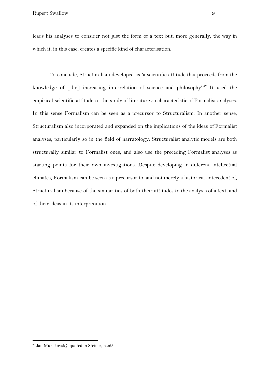Rupert Swallow 9

leads his analyses to consider not just the form of a text but, more generally, the way in which it, in this case, creates a specific kind of characterisation.

To conclude, Structuralism developed as 'a scientific attitude that proceeds from the knowledge of  $[$ the $]$  increasing interrelation of science and philosophy'.<sup>47</sup> It used the empirical scientific attitude to the study of literature so characteristic of Formalist analyses. In this sense Formalism can be seen as a precursor to Structuralism. In another sense, Structuralism also incorporated and expanded on the implications of the ideas of Formalist analyses, particularly so in the field of narratology; Structuralist analytic models are both structurally similar to Formalist ones, and also use the preceding Formalist analyses as starting points for their own investigations. Despite developing in different intellectual climates, Formalism can be seen as a precursor to, and not merely a historical antecedent of, Structuralism because of the similarities of both their attitudes to the analysis of a text, and of their ideas in its interpretation.

<sup>47</sup> Jan Mukařovský, quoted in Steiner, p.268.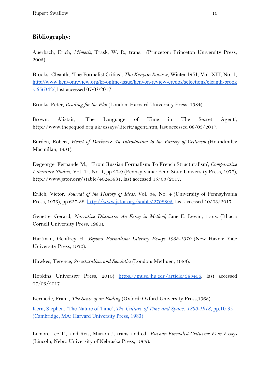## **Bibliography:**

Auerbach, Erich, *Mimesis*, Trask, W. R., trans. (Princeton: Princeton University Press, 2003).

Brooks, Cleanth, 'The Formalist Critics', *The Kenyon Review*, Winter 1951, Vol. XIII, No. 1, [http://www.kenyonreview.org/kr-online-issue/kenyon-review-credos/selections/cleanth-brook](http://www.kenyonreview.org/kr-online-issue/kenyon-review-credos/selections/cleanth-brooks-656342/) [s-656342/](http://www.kenyonreview.org/kr-online-issue/kenyon-review-credos/selections/cleanth-brooks-656342/), last accessed 07/03/2017.

Brooks, Peter, *Reading for the Plot* (London: Harvard University Press, 1984).

Brown, Alistair, 'The Language of Time in The Secret Agent', http://www.thepequod.org.uk/essays/litcrit/agent.htm, last accessed 08/03/2017.

Burden, Robert, *Heart of Darkness: An Introduction to the Variety of Criticism* (Houndmills: Macmillan, 1991).

Degeorge, Fernande M., 'From Russian Formalism: To French Structuralism', *Comparative Literature Studies*, Vol. 14, No. 1, pp.20-9 (Pennsylvania: Penn State University Press, 1977), http://www.jstor.org/stable/40245981, last accessed 15/03/2017.

Erlich, Victor, *Journal of the History of Ideas*, Vol. 34, No. 4 (University of Pennsylvania Press, 1973), pp.627-38,<http://www.jstor.org/stable/2708893>, last accessed 10/03/2017.

Genette, Gerard, *Narrative Discourse: An Essay in Method*, Jane E. Lewin, trans. (Ithaca: Cornell University Press, 1980).

Hartman, Geoffrey H., *Beyond Formalism: Literary Essays 1958-1970* (New Haven: Yale University Press, 1970).

Hawkes, Terence, *Structuralism and Semiotics* (London: Methuen, 1983).

Hopkins University Press, 2010) <https://muse.jhu.edu/article/383406>, last accessed  $07/03/2017$ .

Kermode, Frank, *The Sense of an Ending* (Oxford: Oxford University Press,1968).

Kern, Stephen. 'The Nature of Time', *The Culture of Time and Space: 1880-1918*, pp.10-35 (Cambridge, MA: Harvard University Press, 1983).

Lemon, Lee T., and Reis, Marion J., trans. and ed., *Russian Formalist Criticism: Four Essays* (Lincoln, Nebr.: University of Nebraska Press, 1965).